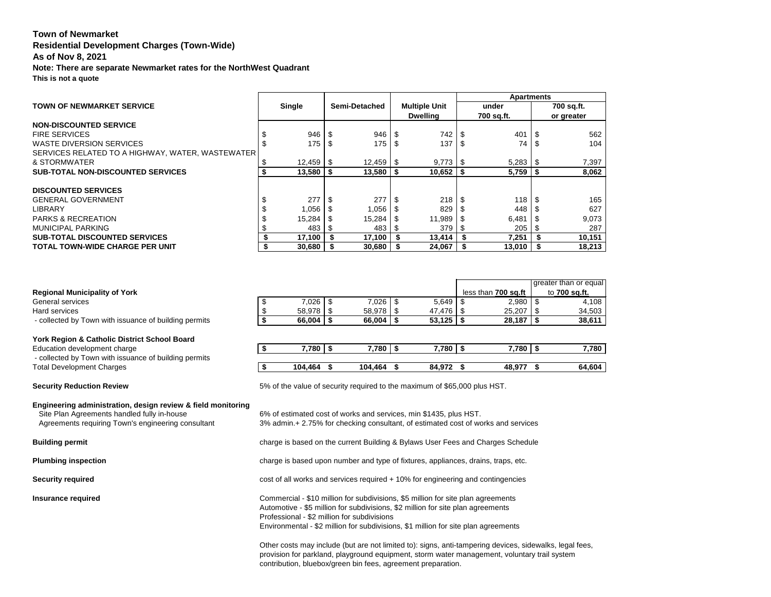# **Town of Newmarket Residential Development Charges (Town-Wide) As of Nov 8, 2021 Note: There are separate Newmarket rates for the NorthWest Quadrant This is not a quote**

|                                                  |               |               |                      |               |      |                      | <b>Apartments</b> |              |            |            |  |
|--------------------------------------------------|---------------|---------------|----------------------|---------------|------|----------------------|-------------------|--------------|------------|------------|--|
| <b>TOWN OF NEWMARKET SERVICE</b>                 | <b>Single</b> |               | <b>Semi-Detached</b> |               |      | <b>Multiple Unit</b> | under             |              |            | 700 sq.ft. |  |
|                                                  |               |               |                      |               |      | <b>Dwelling</b>      | 700 sq.ft.        |              | or greater |            |  |
| NON-DISCOUNTED SERVICE                           |               |               |                      |               |      |                      |                   |              |            |            |  |
| <b>FIRE SERVICES</b>                             | S             | 946           | - \$                 | 946           | - \$ | 742                  | \$.               | 401          |            | 562        |  |
| WASTE DIVERSION SERVICES                         |               | 175           | - \$                 | 175           |      | 137                  | \$.               | 74           |            | 104        |  |
| SERVICES RELATED TO A HIGHWAY, WATER, WASTEWATER |               |               |                      |               |      |                      |                   |              |            |            |  |
| & STORMWATER                                     |               | $12,459$   \$ |                      | $12,459$   \$ |      |                      |                   |              |            | 7,397      |  |
| <b>SUB-TOTAL NON-DISCOUNTED SERVICES</b>         |               | $13,580$ \ \$ |                      | $13,580$ \ \$ |      | 10,652               | \$                | $5,759$ \ \$ |            | 8,062      |  |
|                                                  |               |               |                      |               |      |                      |                   |              |            |            |  |
| <b>DISCOUNTED SERVICES</b>                       |               |               |                      |               |      |                      |                   |              |            |            |  |
| <b>GENERAL GOVERNMENT</b>                        |               | 277           |                      | 277           |      | 218                  |                   | 118          |            | 165        |  |
| LIBRARY                                          |               | 1,056         |                      | 1,056         |      | 829                  |                   | 448          |            | 627        |  |
| <b>PARKS &amp; RECREATION</b>                    |               | 15,284        |                      | 15,284        |      | 11,989               |                   | 6,481        |            | 9,073      |  |
| <b>MUNICIPAL PARKING</b>                         |               | 483           | - 5                  | 483           | - 56 | 379                  | - 56              | 205          |            | 287        |  |
| <b>SUB-TOTAL DISCOUNTED SERVICES</b>             |               | 17,100        | S                    | 17,100        | - S  | 13,414               | S                 | 7,251        |            | 10,151     |  |
| <b>TOTAL TOWN-WIDE CHARGE PER UNIT</b>           |               | 30,680        |                      | 30,680        |      | 24,067               |                   | $13,010$ \$  |            | 18,213     |  |

|                                                       |              |        |        |                     | greater than or equal |
|-------------------------------------------------------|--------------|--------|--------|---------------------|-----------------------|
| <b>Regional Municipality of York</b>                  |              |        |        | less than 700 sq.ft | to <b>700 sq.ft.</b>  |
| <b>General services</b>                               | $7,026$   \$ | 7,026  | 5,649  | $2,980$   \$        | 4,108                 |
| Hard services                                         |              | 58,978 | 47,476 | 25,207              | 34,503                |
| - collected by Town with issuance of building permits | 66,004       | 66,004 | 53,125 | 28,187              | 38,611                |

### **York Region & Catholic District School Board**

| Education development charge                             | 7,780   | 7,780   | 7,780  | 7,780  | 7,780  |
|----------------------------------------------------------|---------|---------|--------|--------|--------|
| - collected by<br>Town with issuance of building permits |         |         |        |        |        |
| <b>Total Development Charges</b>                         | 104,464 | 104.464 | 84,972 | 48,977 | 64,604 |

| Engineering administration, design review & field monitoring<br>Site Plan Agreements handled fully in-house<br>Agreements requiring Town's engineering consultant | 6% of estimated co<br>3% admin. + 2.75%                                                    |
|-------------------------------------------------------------------------------------------------------------------------------------------------------------------|--------------------------------------------------------------------------------------------|
| <b>Building permit</b>                                                                                                                                            | charge is based on                                                                         |
| <b>Plumbing inspection</b>                                                                                                                                        | charge is based up                                                                         |
| <b>Security required</b>                                                                                                                                          | cost of all works an                                                                       |
| Insurance required                                                                                                                                                | Commercial - \$10 r<br>Automotive - \$5 mil<br>Professional - \$2 m<br>Environmental - \$2 |

| .                                                     | ------ |        |        |        | - - - - - - |
|-------------------------------------------------------|--------|--------|--------|--------|-------------|
| - collected by Town with issuance of building permits | 66,004 | 66,004 | 53,125 | 28,187 | 38,611      |
| York Region & Catholic District School Board          |        |        |        |        |             |
| Education development charge                          | 7,780  | 7,780  | 7,780  | 7,780  | 7,780       |
|                                                       |        |        |        |        |             |

| -- | דטד,דטו<br>- 11 | דטד,דטו<br>- 92 | <b>UTIVIL</b><br>-- | 70.JI<br>-- |
|----|-----------------|-----------------|---------------------|-------------|
|    |                 |                 |                     |             |
|    |                 |                 |                     |             |
|    |                 |                 |                     |             |

**Security Reduction Review** 5% of the value of security required to the maximum of \$65,000 plus HST.

ost of works and services, min \$1435, plus HST. for checking consultant, of estimated cost of works and services the current Building & Bylaws User Fees and Charges Schedule **Poon number and type of fixtures, appliances, drains, traps, etc.** 

Refervices required + 10% for engineering and contingencies

million for subdivisions, \$5 million for site plan agreements illion for subdivisions, \$2 million for site plan agreements nillion for subdivisions million for subdivisions, \$1 million for site plan agreements

Other costs may include (but are not limited to): signs, anti-tampering devices, sidewalks, legal fees, provision for parkland, playground equipment, storm water management, voluntary trail system contribution, bluebox/green bin fees, agreement preparation.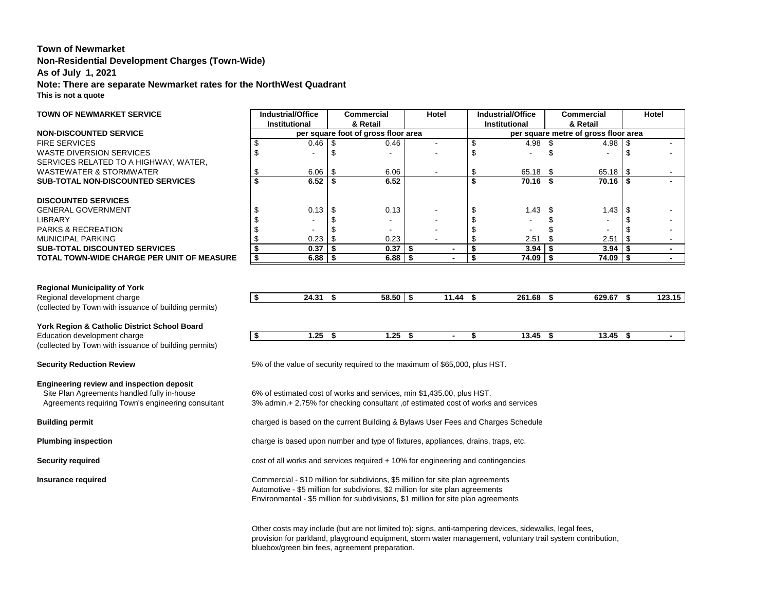# **Town of Newmarket Non-Residential Development Charges (Town-Wide) As of July 1, 2021 Note: There are separate Newmarket rates for the NorthWest Quadrant This is not a quote**

| <b>TOWN OF NEWMARKET SERVICE</b>           | Industrial/Office    |      | <b>Commercial</b>                   | Hotel |                | Industrial/Office    |                   | <b>Commercial</b>                    |      | Hotel |
|--------------------------------------------|----------------------|------|-------------------------------------|-------|----------------|----------------------|-------------------|--------------------------------------|------|-------|
|                                            | <b>Institutional</b> |      | & Retail                            |       |                | <b>Institutional</b> |                   | & Retail                             |      |       |
| <b>NON-DISCOUNTED SERVICE</b>              |                      |      | per square foot of gross floor area |       |                |                      |                   | per square metre of gross floor area |      |       |
| <b>FIRE SERVICES</b>                       |                      |      | 0.46                                |       |                |                      | 4.98 <sup>5</sup> | 4.98                                 |      |       |
| WASTE DIVERSION SERVICES                   |                      |      |                                     |       |                |                      |                   |                                      |      |       |
| SERVICES RELATED TO A HIGHWAY, WATER,      |                      |      |                                     |       |                |                      |                   |                                      |      |       |
| WASTEWATER & STORMWATER                    | 6.06                 | - 35 | 6.06                                |       |                | 65.18 \$             |                   | 65.18                                | - \$ |       |
| <b>SUB-TOTAL NON-DISCOUNTED SERVICES</b>   | 6.52                 |      | 6.52                                |       |                | 70.16 \$             |                   | 70.16                                |      |       |
| <b>DISCOUNTED SERVICES</b>                 |                      |      |                                     |       |                |                      |                   |                                      |      |       |
| <b>GENERAL GOVERNMENT</b>                  | 0.13                 |      | 0.13                                |       |                |                      | 1.43 <sup>5</sup> | 1.43                                 |      |       |
| LIBRARY                                    |                      |      |                                     |       |                |                      |                   |                                      |      |       |
| <b>PARKS &amp; RECREATION</b>              |                      |      |                                     |       |                |                      |                   |                                      |      |       |
| MUNICIPAL PARKING                          | 0.23                 |      | 0.23                                |       |                | 2.51                 |                   | 2.51                                 |      |       |
| <b>SUB-TOTAL DISCOUNTED SERVICES</b>       | 0.37                 |      | 0.37                                |       |                | 3.94                 |                   | 3.94                                 |      |       |
| TOTAL TOWN-WIDE CHARGE PER UNIT OF MEASURE | $6.88$   \$          |      | 6.88                                |       | $\blacksquare$ | $74.09$ \\$          |                   | 74.09                                |      |       |
|                                            |                      |      |                                     |       |                |                      |                   |                                      |      |       |

## **Regional Municipality of York**

Regional development charge **\$ 24.31 \$ 58.50 \$ 11.44 \$ 261.68 \$ 629.67 \$ 123.15** (collected by Town with issuance of building permits)

### **York Region & Catholic District School Board**

**Education development charge** (collected by Town with issuance of building permits)

### **Engineering review and inspection deposit**

| $\bullet$<br>-13 | ົດຂ<br>ن ے ر<br>- 8 | ົດຂ<br>53. ا<br>-11 | -0 | 3.45<br>$\sim$ 12 | $\Lambda$ F<br>ın<br>- 11<br>ູ |  |
|------------------|---------------------|---------------------|----|-------------------|--------------------------------|--|

**Security Reduction Review 5% of the value of security required to the maximum of \$65,000, plus HST.** 

Site Plan Agreements handled fully in-house 6% of estimated cost of works and services, min \$1,435.00, plus HST. Agreements requiring Town's engineering consultant 3% admin.+ 2.75% for checking consultant , of estimated cost of works and services

**Building permit Example 2 Charged is based on the current Building & Bylaws User Fees and Charges Schedule** 

**Plumbing inspection** charge is based upon number and type of fixtures, appliances, drains, traps, etc.

**Security required** Security required cost of all works and services required + 10% for engineering and contingencies

**Insurance required Insurance required** Commercial - \$10 million for subdivions, \$5 million for site plan agreements Automotive - \$5 million for subdivions, \$2 million for site plan agreements Environmental - \$5 million for subdivisions, \$1 million for site plan agreements

> Other costs may include (but are not limited to): signs, anti-tampering devices, sidewalks, legal fees, provision for parkland, playground equipment, storm water management, voluntary trail system contribution, bluebox/green bin fees, agreement preparation.